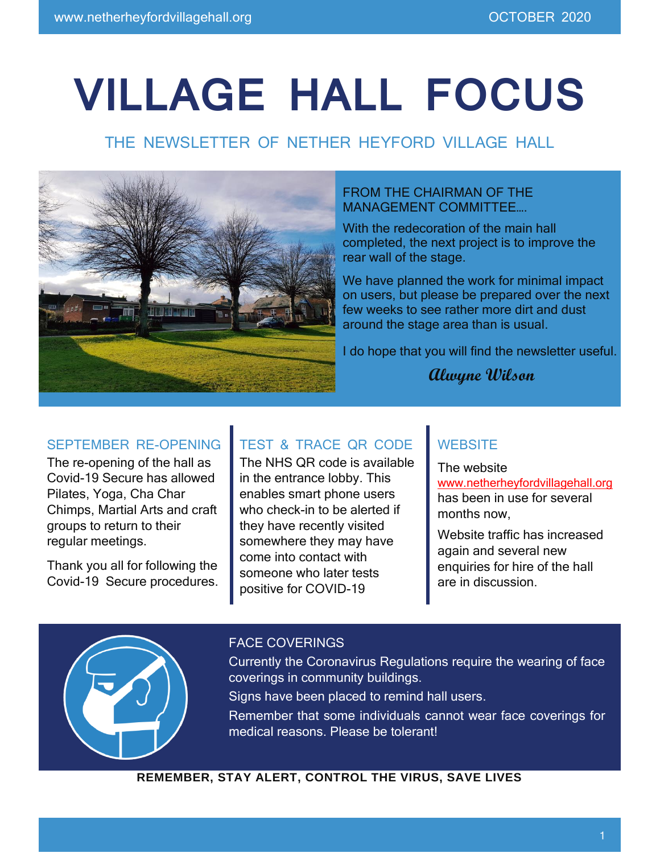# **VILLAGE HALL FOCUS**

# THE NEWSLETTER OF NETHER HEYFORD VILLAGE HALL



#### FROM THE CHAIRMAN OF THE MANAGEMENT COMMITTEE….

With the redecoration of the main hall completed, the next project is to improve the rear wall of the stage.

We have planned the work for minimal impact on users, but please be prepared over the next few weeks to see rather more dirt and dust around the stage area than is usual.

I do hope that you will find the newsletter useful.

## **Alwyne Wilson**

## SEPTEMBER RE-OPENING

The re-opening of the hall as Covid-19 Secure has allowed Pilates, Yoga, Cha Char Chimps, Martial Arts and craft groups to return to their regular meetings.

Thank you all for following the Covid-19 Secure procedures.

## TEST & TRACE QR CODE

The NHS QR code is available in the entrance lobby. This enables smart phone users who check-in to be alerted if they have recently visited somewhere they may have come into contact with someone who later tests positive for COVID-19

## **WEBSITE**

The website [www.netherheyfordvillagehall.org](http://www.netherheyfordvillagehall.org/) has been in use for several months now,

Website traffic has increased again and several new enquiries for hire of the hall are in discussion.



#### FACE COVERINGS

Currently the Coronavirus Regulations require the wearing of face coverings in community buildings.

Signs have been placed to remind hall users.

Remember that some individuals cannot wear face coverings for medical reasons. Please be tolerant!

**REMEMBER, STAY ALERT, CONTROL THE VIRUS, SAVE LIVES**